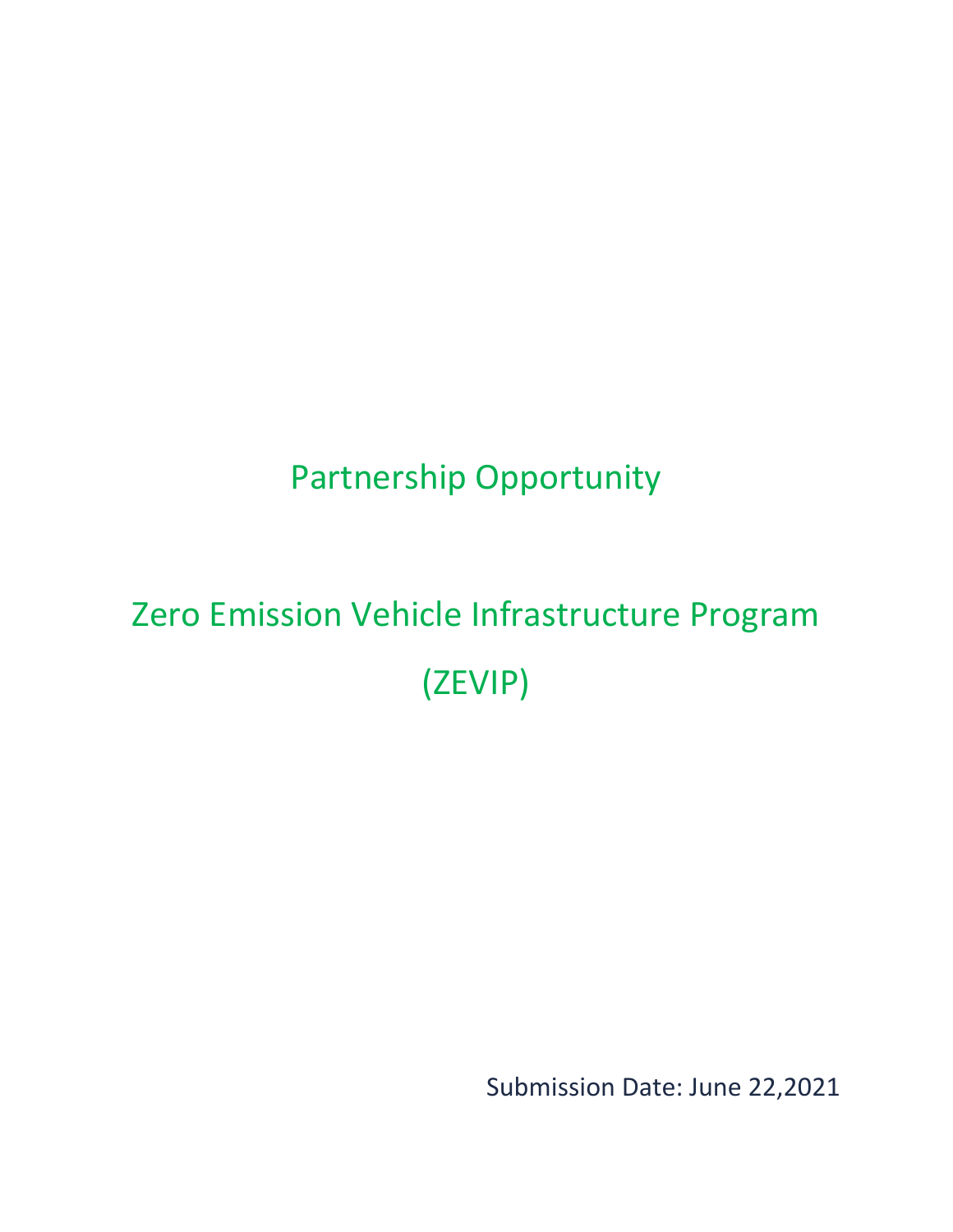## Partnership Opportunity

# <span id="page-0-0"></span>Zero Emission Vehicle Infrastructure Program (ZEVIP)

Submission Date: June 22,2021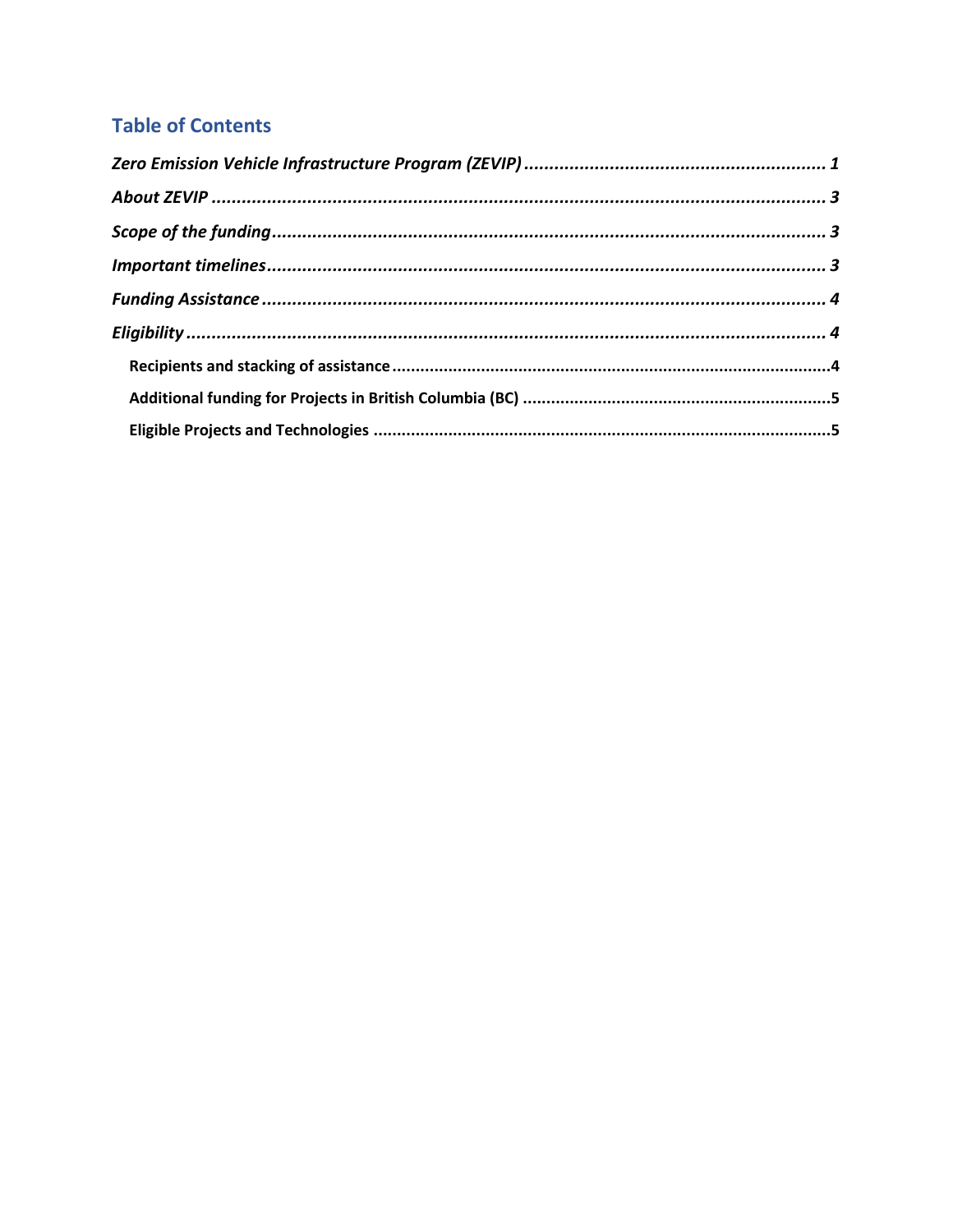### **Table of Contents**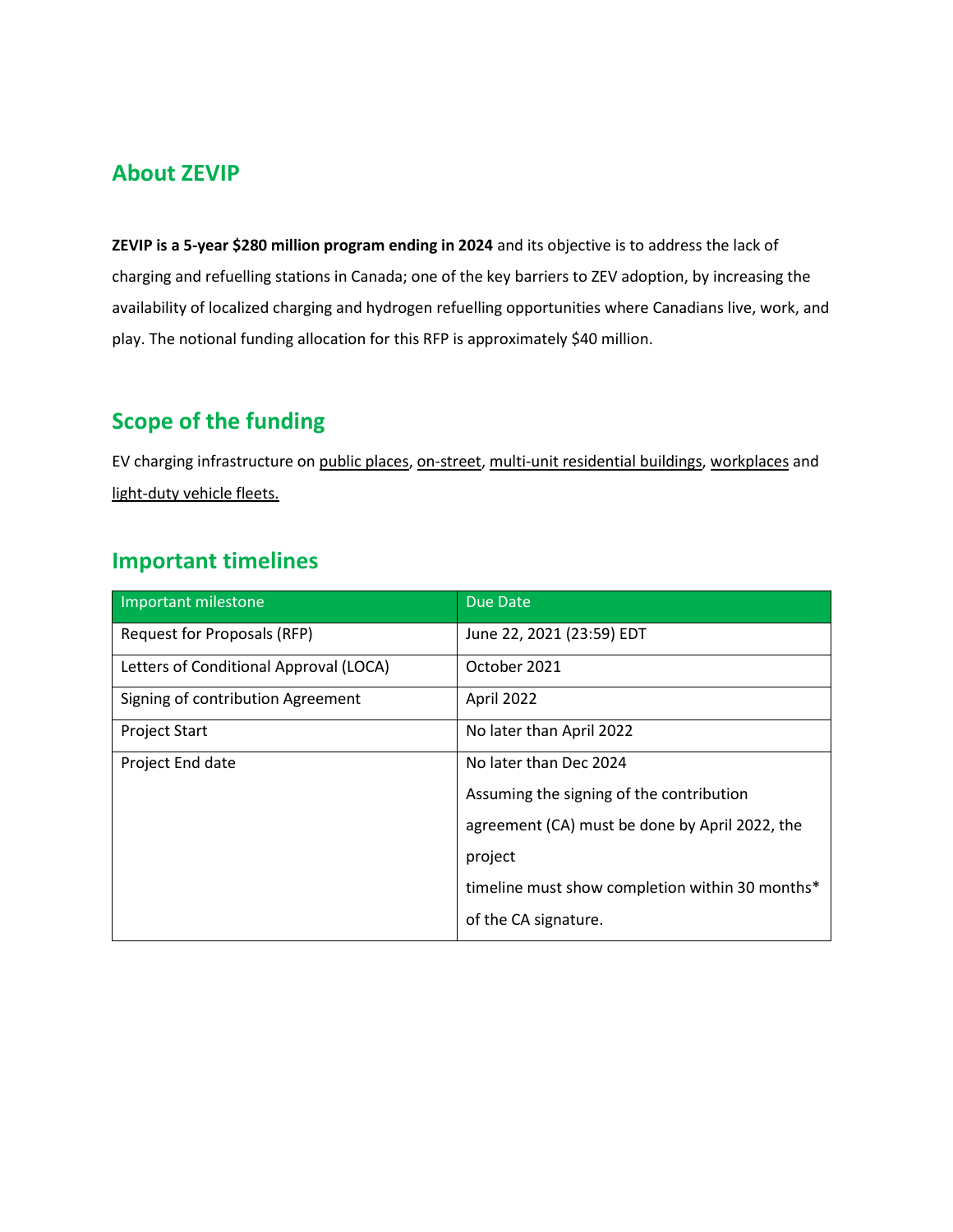#### <span id="page-2-0"></span>**About ZEVIP**

**ZEVIP is a 5-year \$280 million program ending in 2024** and its objective is to address the lack of charging and refuelling stations in Canada; one of the key barriers to ZEV adoption, by increasing the availability of localized charging and hydrogen refuelling opportunities where Canadians live, work, and play. The notional funding allocation for this RFP is approximately \$40 million.

## <span id="page-2-1"></span>**Scope of the funding**

EV charging infrastructure on public places, on-street, multi-unit residential buildings, workplaces and light-duty vehicle fleets.

#### <span id="page-2-2"></span>**Important timelines**

| Important milestone                    | Due Date                                        |
|----------------------------------------|-------------------------------------------------|
| Request for Proposals (RFP)            | June 22, 2021 (23:59) EDT                       |
| Letters of Conditional Approval (LOCA) | October 2021                                    |
| Signing of contribution Agreement      | April 2022                                      |
| <b>Project Start</b>                   | No later than April 2022                        |
| Project End date                       | No later than Dec 2024                          |
|                                        | Assuming the signing of the contribution        |
|                                        | agreement (CA) must be done by April 2022, the  |
|                                        | project                                         |
|                                        | timeline must show completion within 30 months* |
|                                        | of the CA signature.                            |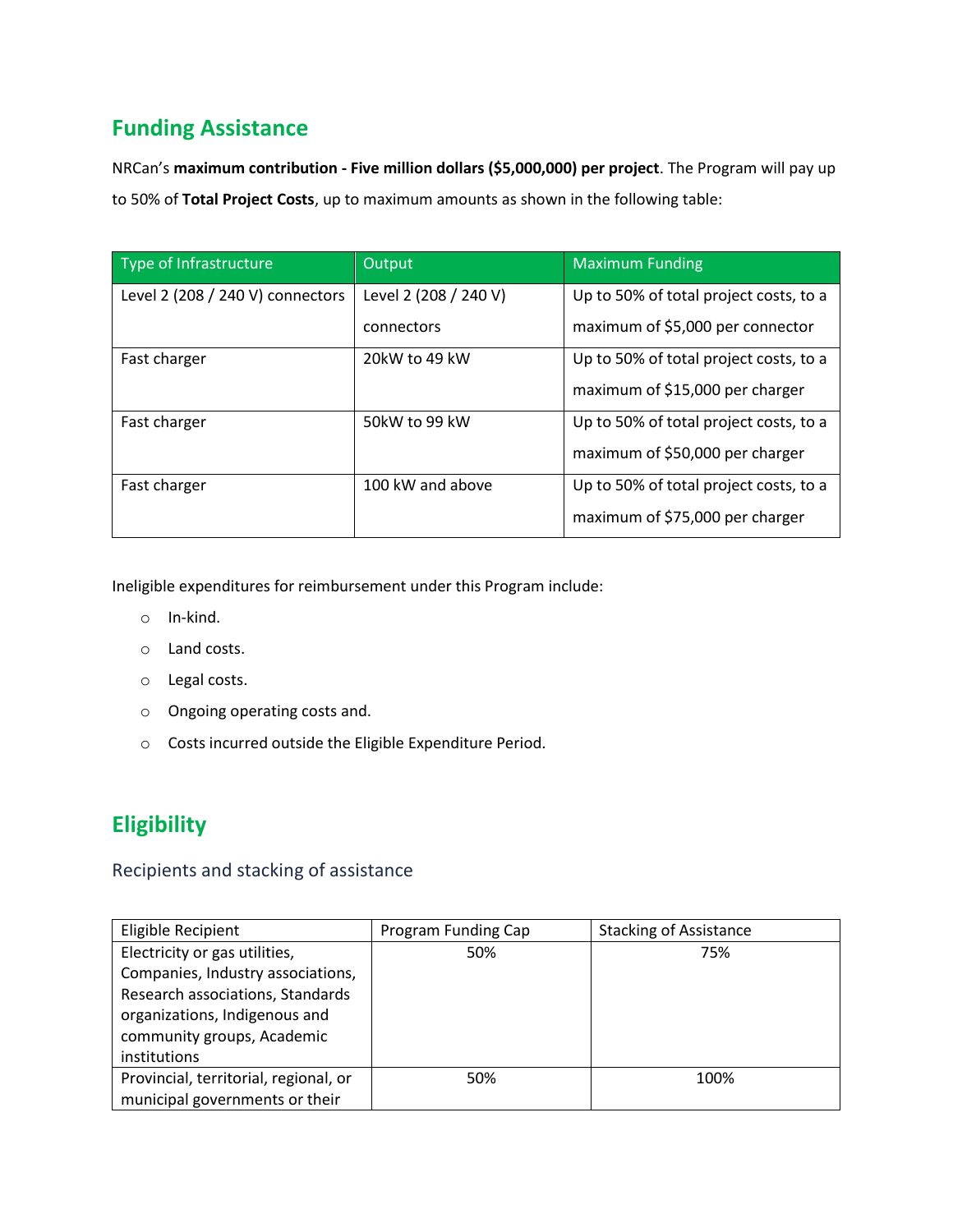## <span id="page-3-0"></span>**Funding Assistance**

NRCan's **maximum contribution - Five million dollars (\$5,000,000) per project**. The Program will pay up to 50% of **Total Project Costs**, up to maximum amounts as shown in the following table:

| Type of Infrastructure           | Output                | <b>Maximum Funding</b>                 |
|----------------------------------|-----------------------|----------------------------------------|
| Level 2 (208 / 240 V) connectors | Level 2 (208 / 240 V) | Up to 50% of total project costs, to a |
|                                  | connectors            | maximum of \$5,000 per connector       |
| Fast charger                     | 20kW to 49 kW         | Up to 50% of total project costs, to a |
|                                  |                       | maximum of \$15,000 per charger        |
| Fast charger                     | 50kW to 99 kW         | Up to 50% of total project costs, to a |
|                                  |                       | maximum of \$50,000 per charger        |
| Fast charger                     | 100 kW and above      | Up to 50% of total project costs, to a |
|                                  |                       | maximum of \$75,000 per charger        |

Ineligible expenditures for reimbursement under this Program include:

- o In-kind.
- o Land costs.
- o Legal costs.
- o Ongoing operating costs and.
- o Costs incurred outside the Eligible Expenditure Period.

## <span id="page-3-1"></span>**Eligibility**

#### <span id="page-3-2"></span>Recipients and stacking of assistance

| Eligible Recipient                    | Program Funding Cap | <b>Stacking of Assistance</b> |
|---------------------------------------|---------------------|-------------------------------|
| Electricity or gas utilities,         | 50%                 | 75%                           |
| Companies, Industry associations,     |                     |                               |
| Research associations, Standards      |                     |                               |
| organizations, Indigenous and         |                     |                               |
| community groups, Academic            |                     |                               |
| institutions                          |                     |                               |
| Provincial, territorial, regional, or | 50%                 | 100%                          |
| municipal governments or their        |                     |                               |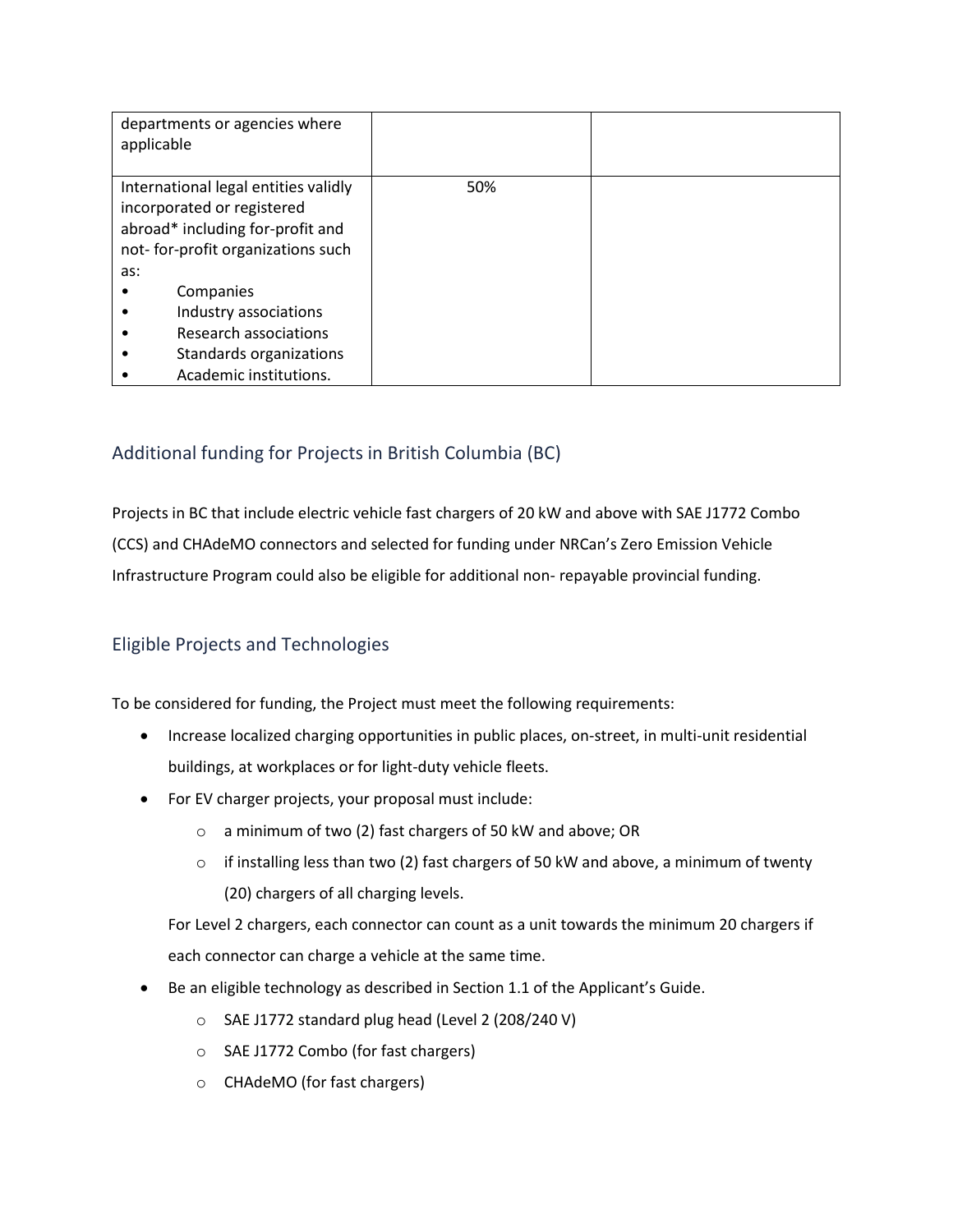| departments or agencies where<br>applicable                                                                                                        |     |  |
|----------------------------------------------------------------------------------------------------------------------------------------------------|-----|--|
| International legal entities validly<br>incorporated or registered<br>abroad* including for-profit and<br>not-for-profit organizations such<br>as: | 50% |  |
| Companies                                                                                                                                          |     |  |
| Industry associations                                                                                                                              |     |  |
| Research associations                                                                                                                              |     |  |
| Standards organizations                                                                                                                            |     |  |
| Academic institutions.                                                                                                                             |     |  |

#### <span id="page-4-0"></span>Additional funding for Projects in British Columbia (BC)

Projects in BC that include electric vehicle fast chargers of 20 kW and above with SAE J1772 Combo (CCS) and CHAdeMO connectors and selected for funding under NRCan's Zero Emission Vehicle Infrastructure Program could also be eligible for additional non- repayable provincial funding.

#### <span id="page-4-1"></span>Eligible Projects and Technologies

To be considered for funding, the Project must meet the following requirements:

- Increase localized charging opportunities in public places, on-street, in multi-unit residential buildings, at workplaces or for light-duty vehicle fleets.
- For EV charger projects, your proposal must include:
	- o a minimum of two (2) fast chargers of 50 kW and above; OR
	- $\circ$  if installing less than two (2) fast chargers of 50 kW and above, a minimum of twenty (20) chargers of all charging levels.

For Level 2 chargers, each connector can count as a unit towards the minimum 20 chargers if each connector can charge a vehicle at the same time.

- Be an eligible technology as described in Section 1.1 of the Applicant's Guide.
	- o SAE J1772 standard plug head (Level 2 (208/240 V)
	- o SAE J1772 Combo (for fast chargers)
	- o CHAdeMO (for fast chargers)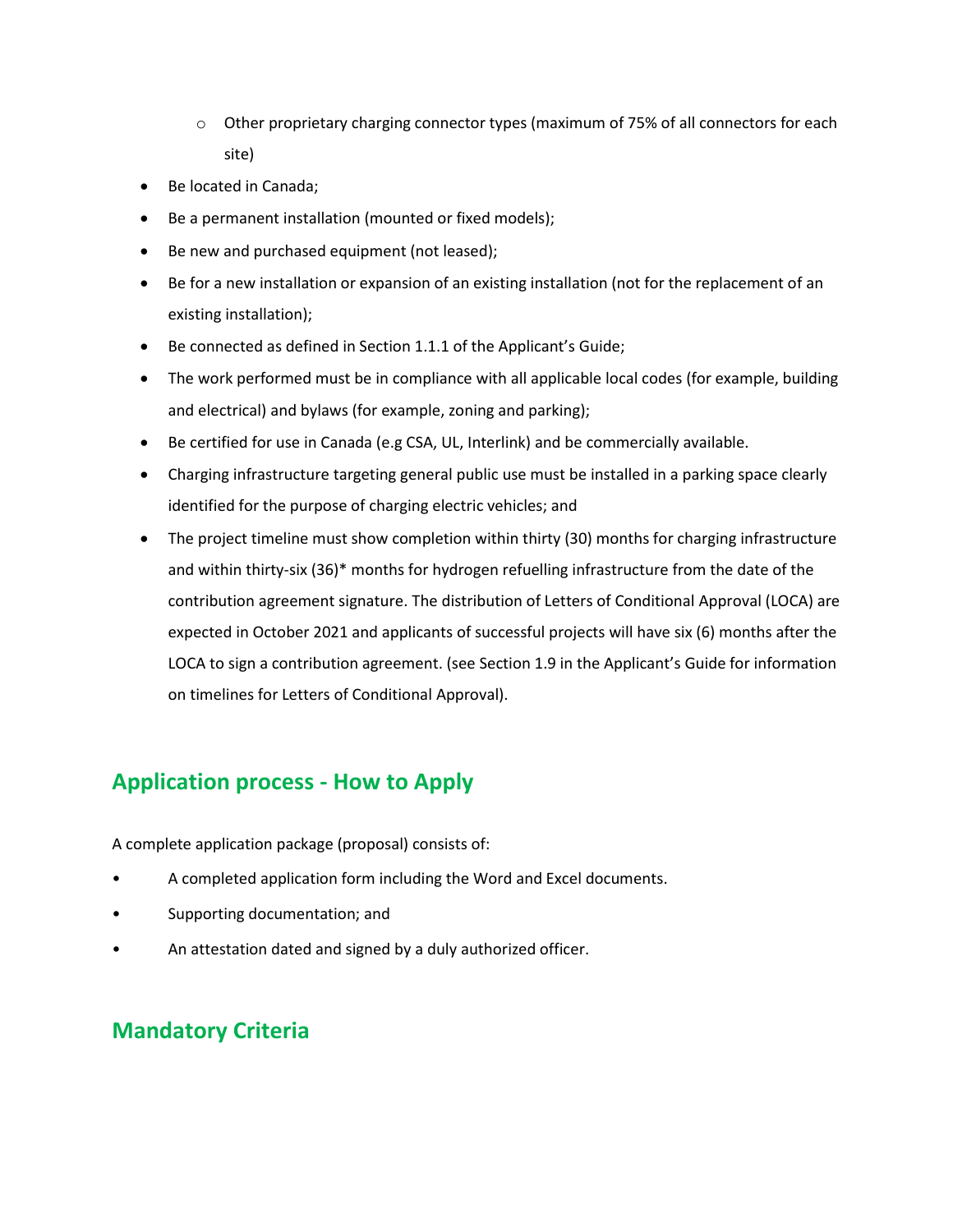- $\circ$  Other proprietary charging connector types (maximum of 75% of all connectors for each site)
- Be located in Canada;
- Be a permanent installation (mounted or fixed models);
- Be new and purchased equipment (not leased);
- Be for a new installation or expansion of an existing installation (not for the replacement of an existing installation);
- Be connected as defined in Section 1.1.1 of the Applicant's Guide;
- The work performed must be in compliance with all applicable local codes (for example, building and electrical) and bylaws (for example, zoning and parking);
- Be certified for use in Canada (e.g CSA, UL, Interlink) and be commercially available.
- Charging infrastructure targeting general public use must be installed in a parking space clearly identified for the purpose of charging electric vehicles; and
- The project timeline must show completion within thirty (30) months for charging infrastructure and within thirty-six (36)\* months for hydrogen refuelling infrastructure from the date of the contribution agreement signature. The distribution of Letters of Conditional Approval (LOCA) are expected in October 2021 and applicants of successful projects will have six (6) months after the LOCA to sign a contribution agreement. (see Section 1.9 in the Applicant's Guide for information on timelines for Letters of Conditional Approval).

#### **Application process - How to Apply**

A complete application package (proposal) consists of:

- A completed application form including the Word and Excel documents.
- Supporting documentation; and
- An attestation dated and signed by a duly authorized officer.

#### **Mandatory Criteria**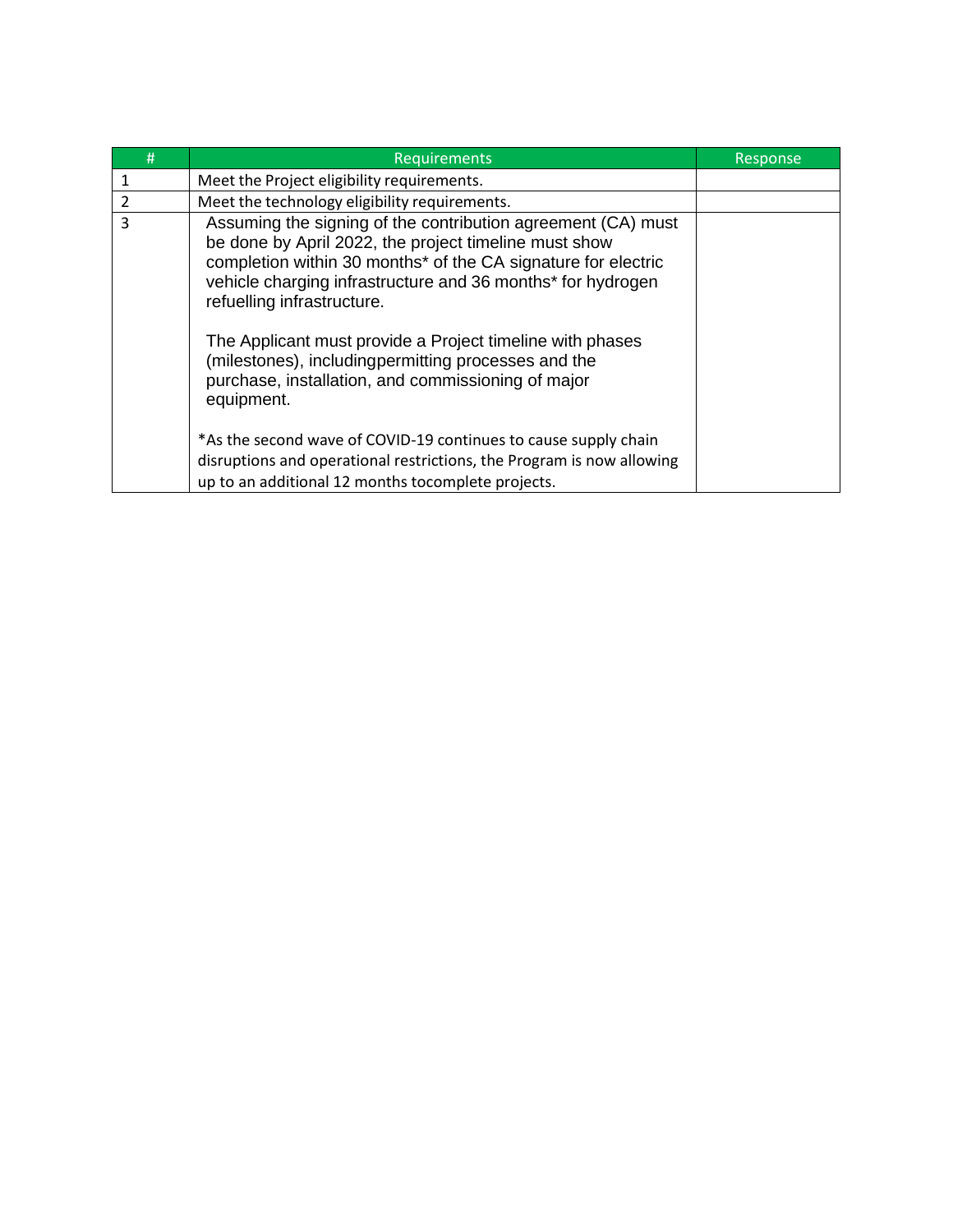| #              | Requirements                                                                                                                                                                                                                                                                                                                                                                                                                                                                | Response |
|----------------|-----------------------------------------------------------------------------------------------------------------------------------------------------------------------------------------------------------------------------------------------------------------------------------------------------------------------------------------------------------------------------------------------------------------------------------------------------------------------------|----------|
| 1              | Meet the Project eligibility requirements.                                                                                                                                                                                                                                                                                                                                                                                                                                  |          |
| $\overline{2}$ | Meet the technology eligibility requirements.                                                                                                                                                                                                                                                                                                                                                                                                                               |          |
| 3              | Assuming the signing of the contribution agreement (CA) must<br>be done by April 2022, the project timeline must show<br>completion within 30 months* of the CA signature for electric<br>vehicle charging infrastructure and 36 months* for hydrogen<br>refuelling infrastructure.<br>The Applicant must provide a Project timeline with phases<br>(milestones), includingpermitting processes and the<br>purchase, installation, and commissioning of major<br>equipment. |          |
|                | *As the second wave of COVID-19 continues to cause supply chain<br>disruptions and operational restrictions, the Program is now allowing<br>up to an additional 12 months tocomplete projects.                                                                                                                                                                                                                                                                              |          |